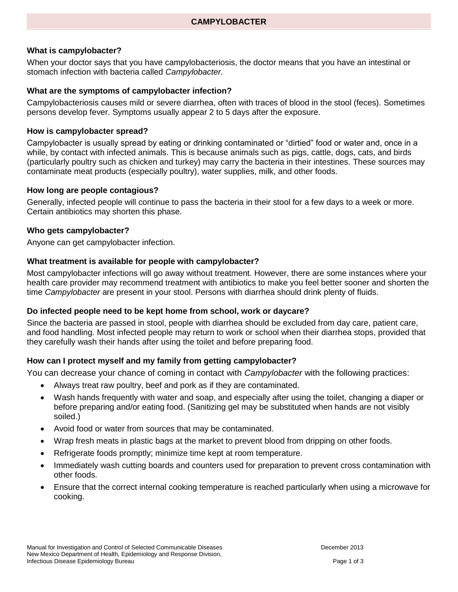# **What is campylobacter?**

When your doctor says that you have campylobacteriosis, the doctor means that you have an intestinal or stomach infection with bacteria called *Campylobacter*.

#### **What are the symptoms of campylobacter infection?**

Campylobacteriosis causes mild or severe diarrhea, often with traces of blood in the stool (feces). Sometimes persons develop fever. Symptoms usually appear 2 to 5 days after the exposure.

#### **How is campylobacter spread?**

Campylobacter is usually spread by eating or drinking contaminated or "dirtied" food or water and, once in a while, by contact with infected animals. This is because animals such as pigs, cattle, dogs, cats, and birds (particularly poultry such as chicken and turkey) may carry the bacteria in their intestines. These sources may contaminate meat products (especially poultry), water supplies, milk, and other foods.

#### **How long are people contagious?**

Generally, infected people will continue to pass the bacteria in their stool for a few days to a week or more. Certain antibiotics may shorten this phase.

#### **Who gets campylobacter?**

Anyone can get campylobacter infection.

#### **What treatment is available for people with campylobacter?**

Most campylobacter infections will go away without treatment. However, there are some instances where your health care provider may recommend treatment with antibiotics to make you feel better sooner and shorten the time *Campylobacter* are present in your stool. Persons with diarrhea should drink plenty of fluids.

#### **Do infected people need to be kept home from school, work or daycare?**

Since the bacteria are passed in stool, people with diarrhea should be excluded from day care, patient care, and food handling. Most infected people may return to work or school when their diarrhea stops, provided that they carefully wash their hands after using the toilet and before preparing food.

# **How can I protect myself and my family from getting campylobacter?**

You can decrease your chance of coming in contact with *Campylobacter* with the following practices:

- Always treat raw poultry, beef and pork as if they are contaminated.
- Wash hands frequently with water and soap, and especially after using the toilet, changing a diaper or before preparing and/or eating food. (Sanitizing gel may be substituted when hands are not visibly soiled.)
- Avoid food or water from sources that may be contaminated.
- Wrap fresh meats in plastic bags at the market to prevent blood from dripping on other foods.
- Refrigerate foods promptly; minimize time kept at room temperature.
- Immediately wash cutting boards and counters used for preparation to prevent cross contamination with other foods.
- Ensure that the correct internal cooking temperature is reached particularly when using a microwave for cooking.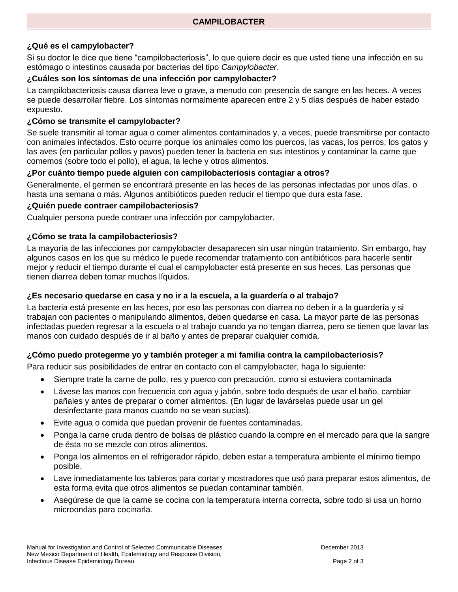# **¿Qué es el campylobacter?**

Si su doctor le dice que tiene "campilobacteriosis", lo que quiere decir es que usted tiene una infección en su estómago o intestinos causada por bacterias del tipo *Campylobacter*.

# **¿Cuáles son los síntomas de una infección por campylobacter?**

La campilobacteriosis causa diarrea leve o grave, a menudo con presencia de sangre en las heces. A veces se puede desarrollar fiebre. Los síntomas normalmente aparecen entre 2 y 5 días después de haber estado expuesto.

### **¿Cómo se transmite el campylobacter?**

Se suele transmitir al tomar agua o comer alimentos contaminados y, a veces, puede transmitirse por contacto con animales infectados. Esto ocurre porque los animales como los puercos, las vacas, los perros, los gatos y las aves (en particular pollos y pavos) pueden tener la bacteria en sus intestinos y contaminar la carne que comemos (sobre todo el pollo), el agua, la leche y otros alimentos.

### **¿Por cuánto tiempo puede alguien con campilobacteriosis contagiar a otros?**

Generalmente, el germen se encontrará presente en las heces de las personas infectadas por unos días, o hasta una semana o más. Algunos antibióticos pueden reducir el tiempo que dura esta fase.

### **¿Quién puede contraer campilobacteriosis?**

Cualquier persona puede contraer una infección por campylobacter.

# **¿Cómo se trata la campilobacteriosis?**

La mayoría de las infecciones por campylobacter desaparecen sin usar ningún tratamiento. Sin embargo, hay algunos casos en los que su médico le puede recomendar tratamiento con antibióticos para hacerle sentir mejor y reducir el tiempo durante el cual el campylobacter está presente en sus heces. Las personas que tienen diarrea deben tomar muchos líquidos.

# **¿Es necesario quedarse en casa y no ir a la escuela, a la guardería o al trabajo?**

La bacteria está presente en las heces, por eso las personas con diarrea no deben ir a la guardería y si trabajan con pacientes o manipulando alimentos, deben quedarse en casa. La mayor parte de las personas infectadas pueden regresar a la escuela o al trabajo cuando ya no tengan diarrea, pero se tienen que lavar las manos con cuidado después de ir al baño y antes de preparar cualquier comida.

# **¿Cómo puedo protegerme yo y también proteger a mi familia contra la campilobacteriosis?**

Para reducir sus posibilidades de entrar en contacto con el campylobacter, haga lo siguiente:

- Siempre trate la carne de pollo, res y puerco con precaución, como si estuviera contaminada
- Lávese las manos con frecuencia con agua y jabón, sobre todo después de usar el baño, cambiar pañales y antes de preparar o comer alimentos. (En lugar de lavárselas puede usar un gel desinfectante para manos cuando no se vean sucias).
- Evite agua o comida que puedan provenir de fuentes contaminadas.
- Ponga la carne cruda dentro de bolsas de plástico cuando la compre en el mercado para que la sangre de ésta no se mezcle con otros alimentos.
- Ponga los alimentos en el refrigerador rápido, deben estar a temperatura ambiente el mínimo tiempo posible.
- Lave inmediatamente los tableros para cortar y mostradores que usó para preparar estos alimentos, de esta forma evita que otros alimentos se puedan contaminar también.
- Asegúrese de que la carne se cocina con la temperatura interna correcta, sobre todo si usa un horno microondas para cocinarla.